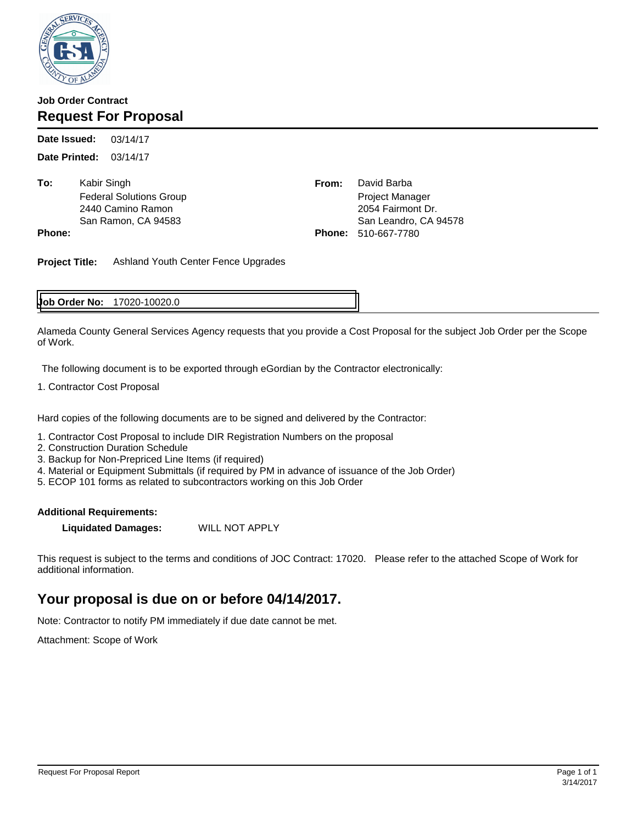

### **Job Order Contract Request For Proposal**

03/14/17 **Date Printed:** 03/14/17 **Date Issued:**

**To: Kabir Singh** 

From: David Barba Federal Solutions Group **Project Manager** Project Manager 2440 Camino Ramon 2054 Fairmont Dr. San Ramon, CA 94583 San Leandro, CA 94578 **Phone: Phone:** 510-667-7780

**Project Title:** Ashland Youth Center Fence Upgrades

### 17020-10020.0 **Job Order No:**

Alameda County General Services Agency requests that you provide a Cost Proposal for the subject Job Order per the Scope of Work.

The following document is to be exported through eGordian by the Contractor electronically:

1. Contractor Cost Proposal

Hard copies of the following documents are to be signed and delivered by the Contractor:

- 1. Contractor Cost Proposal to include DIR Registration Numbers on the proposal
- 2. Construction Duration Schedule
- 3. Backup for Non-Prepriced Line Items (if required)
- 4. Material or Equipment Submittals (if required by PM in advance of issuance of the Job Order)
- 5. ECOP 101 forms as related to subcontractors working on this Job Order

#### **Additional Requirements:**

**Liquidated Damages:** WILL NOT APPLY

This request is subject to the terms and conditions of JOC Contract: 17020. Please refer to the attached Scope of Work for additional information.

## **Your proposal is due on or before 04/14/2017.**

Note: Contractor to notify PM immediately if due date cannot be met.

Attachment: Scope of Work